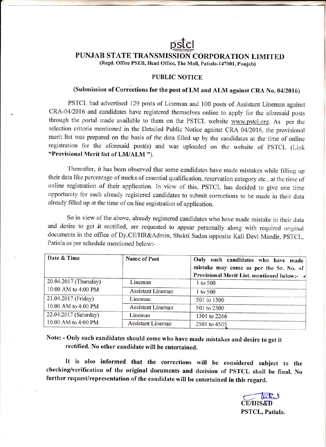# pstcl

### PUNJAB STATE TRANSMISSION CORPORATION LIMITED

(Regd. Office PSEB, Head Office, The Mall, patiala-747001, punjab)

#### PUBLIC NOTICE

#### (Submission of Corrections for the post of LM and ALM against CRA No. 04/2016)

PSTCL had advertised 129 posts of Lineman and 100 posts of Assistant Lineman against CRA-04/2076 and candidates have registered themselves online to apply for the aforesaid posts through the portal made available to them on the PSTCL website www.pstcl.org. As per the selection criteria mentioned in the Detailed Public Notice against CRA 04/2016, the provisional merit list was prepared on the basis of the data filled up by the candidates at the time of online registration for the aforesaid post(s) and was uploaded on the website of PSTCL (Link "Provisional Merit list of LM/ALM").

Thereafter, it has been observed that some candidates have made mistakes while filling up their data like percentage of marks of essential qualification, reservation category etc., at the time of online registration of their application. In view of this, PSTCL has decided to give one time opportunity for such already registered candidates to submit corrections to be made in their data already filled up at the time of on line registration of application.

So in view of the above, already registered candidates who have made mistake in their data and desire to get it rectified, are requested to appear personally along with required original documents in the office of Dy.CE/HR&Admin, Shakti Sadan opposite Kali Devi Mandir, PSTCL, Patiala as per schedule mentioned below:-

| Date & Time                                  | <b>Name of Post</b>      | Only such candidates who have made<br>mistake may come as per the Sr. No. of<br>Provisional Merit List. mentioned below;- |
|----------------------------------------------|--------------------------|---------------------------------------------------------------------------------------------------------------------------|
| 20.04.2017 (Thursday)<br>10:00 AM to 4:00 PM | Lineman                  | 1 to 500                                                                                                                  |
|                                              | <b>Assistant Lineman</b> | 1 to 500                                                                                                                  |
| 21.04.2017 (Friday)<br>10:00 AM to 4:00 PM   | Lineman                  | 501 to 1500                                                                                                               |
|                                              | <b>Assistant Lineman</b> | 501 to 2500                                                                                                               |
| 22.04.2017 (Saturday)<br>10:00 AM to 4:00 PM | Lineman                  | 1501 to 2266                                                                                                              |
|                                              | <b>Assistant Lineman</b> | 2501 to 4505                                                                                                              |

Note: - Only such candidates should come who have made mistakes and desire to get it rectified. No other candidate will be entertained.

It is also informed that the corrections will be considered subject to the checking/verification of the original documents and decision of PSTCL shall be final. No further request/representation of the candidate will be entertained in this regard.

> CE/HIS&D PSTCL, Patiala.